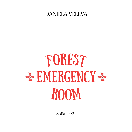## DANIELA VELEVA

## FOREST room \* EMERGENCY \*

Sofia, 2021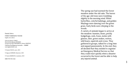The spring sun had warmed the forest meadow under the old oaks. The leaves of the age-old trees were trembling slightly in the morning wind. White butterflies, colorful ladybugs, and golden Maybugs were dancing over the green grass. Early birds were chirping in the woods.

A variety of animals began to arrive at the meadow: bunnies, bears, prickly hedgehogs, owls, foxes, moles with glasses, deer, green snakes, wolves, wild boars, squirrels and crows. They gathered in groups, talked for a long time and argued passionately. In the end, they all decided that they needed to organize an Emergency Medical Service so that they could react quickly when a disaster occurred in the forest and be able to help any injured animal.

Daniela Veleva

FOREST EMERGENCY ROOM English, first edition

*Edited by* Dimitar ТОМОV *Illustrated by* Ognyan GEORGIEV *Designed by* Galya GERASIMOVA, Dimitar DIMITROV

*Published by* Bulgarian bestseller – NMBBP www.bgbestseller.com

© Daniela VELEVA, autor, 2021

© Ognyan GEORGIEV, illustrator, 2021

© Veneta MARINOVA, translation, 2021

ISBN 978-954-463-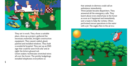that animals in distress could call an ambulance immediately. Three jackals became dispatchers. They answered all the emergency calls. They learnt about every misfortune in the forest as soon as it happened and immediately sent a team to help the victims. Otters performed rescue operations in the water with a jet. The eagles flew in the air in a





They set to work. They chose a suitable place, drew up a project, gathered the necessary materials, brought construction equipment. They sawed, nailed, glued, painted and installed windows. They built a wonderful hospital. They put up an EMS sign that could be seen from afar and at night the letters glowed red. Green snakes-technicians stretched wires all over the forest. The prickly hedgehogs installed telephones everywhere so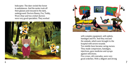helicopter. The deer circled the forest in ambulances. And the moles took off their glasses and rescued in the dark, underground. Doctors Bunny, Fox, Teddy, Woof, Dear and two cricket doctors were very good specialists. They worked





with complex equipment, with splints, bandages and IVs. And they rescued the animals, which were brought to the hospital with severe wounds. Ten nimble bees became caring nurses. They made compresses, bandages, injections, gave medicine and syrups against infections. Five crows, old comrades, were very good orderlies. With a diligent and strong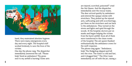

hand, they maintained absolute hygiene. There were many emergencies every day and every night. The hospital staff worked tirelessly to save the lives of the victims.

One day the phone rang. The dispatcher immediately answered the call. "Please help! Send an ambulance! The grass next to my anthill is burning! Some ants

are injured, scorched, poisoned!" cried the Ant Queen. And the dispatcher immediately sent the rescue teams. The deer arrived quickly by ambulance and entered the opaque smoke with stretchers. They picked up the injured ants, suffocating and with scorched legs, put them on the stretchers and ran back to the ambulances. They turned on the sirens and lights and sped through the woods. At the hospital, doctors put on masks and began helping the victims from the burnt anthill. Soon all of them were transferred to the clean rooms of the hospital. The ant queen thanked enthusiastically the ambulance crews for the swift response.

The phone rang again: "Ambulance, help! The Hedgehog slipped and fell into the river. The water is cold and fast, and it dragged him! " The Otter team immediately set off with the jet, raising a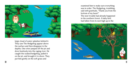

large cloud of water splashes behind it. They saw The Hedgehog appear above the surface and then disappear in the depths. One otter jumped off the jet and dove fearlessly into the raging river. He caught the soaked hedgehog, pulled it on the jet, and brought it to shore. They put him gently on the soft grass and

examined him to make sure everything was in order. The Hedgehog, trembling, said with gratitude, "Thank you from the bottom of my heart!" The next trouble had already happened in the southern forest. A baby bird had fallen from its nest high up in the

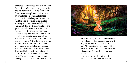branches of an old tree. The bird couldn't fly yet. Its mother was circling anxiously and did not know how to help her child. From the nearest phone, the Owl called an ambulance. And the eagle landed quickly with the helicopter. He examined the little one, plastered its dislocated left wing and lifted him carefully to the warm nest. The mother, now calmed and glowing with happiness, thanked the rescuer from the emergency service. In the evening a strong wind blew in the forest. It uprooted a large heavy tree. The tree fell on the fox's lair and buried a young fox there. At that time it was alone at home. The Rabbit saw the accident and immediately called an ambulance. The Mole team arrived in a few minutes. They quickly began digging, raising piles of dirt in front of the silent assembled foxes. The rescuers dug a tunnel under the huge tree and pulled out the fox alive,



with only an injured ear. They cleaned its wound and made a bandage. Crying with joy, the mother fox hugged her rescued son. All the animals who observed the work of the emergency team said as one: "Emergency Service, thank you very much!"

It was a snowy winter outside. Deep snow covered the trees and bushes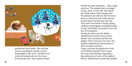

and hid the forest paths. The cold had frozen everything in crystals of frost. Surprisingly in the snow, a terrible virus struck the animals all over the forest. Everyone got sick. They stayed at home. All had the same symptoms – deep cough and fever. The animals had no strength to play, meet or even talk. This lasted the whole winter. When spring came the animals were still sick. But the brave doctors, dressed in their white aprons, treated them tirelessly day after day. They went from house to house, giving medicine and bringing everything needed to help. And finally succeeded to cure the last of the patients! During the whole year Dr. Rabbit administered vaccines. Every forest dweller was vaccinated and thus the danger of the virus was overcome. The animals calmed down and returned to their everyday activities. Today, everyone has gathered in front of the White Hospital. They've been here since the morning, organizing a big celebration in honor of the medical heroes. Playful music sounds and animals